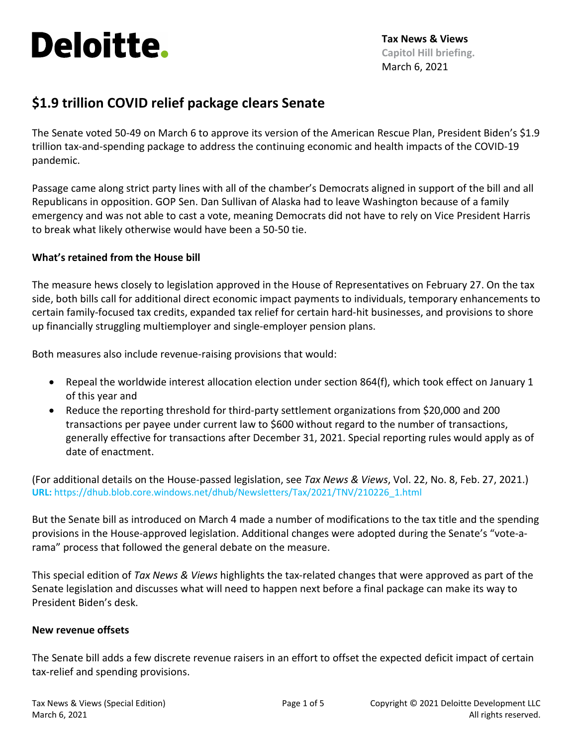# **Deloitte.**

## **\$1.9 trillion COVID relief package clears Senate**

The Senate voted 50-49 on March 6 to approve its version of the American Rescue Plan, President Biden's \$1.9 trillion tax-and-spending package to address the continuing economic and health impacts of the COVID-19 pandemic.

Passage came along strict party lines with all of the chamber's Democrats aligned in support of the bill and all Republicans in opposition. GOP Sen. Dan Sullivan of Alaska had to leave Washington because of a family emergency and was not able to cast a vote, meaning Democrats did not have to rely on Vice President Harris to break what likely otherwise would have been a 50-50 tie.

#### **What's retained from the House bill**

The measure hews closely to legislation approved in the House of Representatives on February 27. On the tax side, both bills call for additional direct economic impact payments to individuals, temporary enhancements to certain family-focused tax credits, expanded tax relief for certain hard-hit businesses, and provisions to shore up financially struggling multiemployer and single-employer pension plans.

Both measures also include revenue-raising provisions that would:

- Repeal the worldwide interest allocation election under section 864(f), which took effect on January 1 of this year and
- Reduce the reporting threshold for third-party settlement organizations from \$20,000 and 200 transactions per payee under current law to \$600 without regard to the number of transactions, generally effective for transactions after December 31, 2021. Special reporting rules would apply as of date of enactment.

(For additional details on the House-passed legislation, see *Tax News & [Views](https://dhub.blob.core.windows.net/dhub/Newsletters/Tax/2021/TNV/210226_1.html)*, Vol. 22, No. 8, Feb. 27, 2021.) **URL:** https://dhub.blob.core.windows.net/dhub/Newsletters/Tax/2021/TNV/210226\_1.html

But the Senate bill as introduced on March 4 made a number of modifications to the tax title and the spending provisions in the House-approved legislation. Additional changes were adopted during the Senate's "vote-arama" process that followed the general debate on the measure.

This special edition of *Tax News & Views* highlights the tax-related changes that were approved as part of the Senate legislation and discusses what will need to happen next before a final package can make its way to President Biden's desk.

#### **New revenue offsets**

The Senate bill adds a few discrete revenue raisers in an effort to offset the expected deficit impact of certain tax-relief and spending provisions.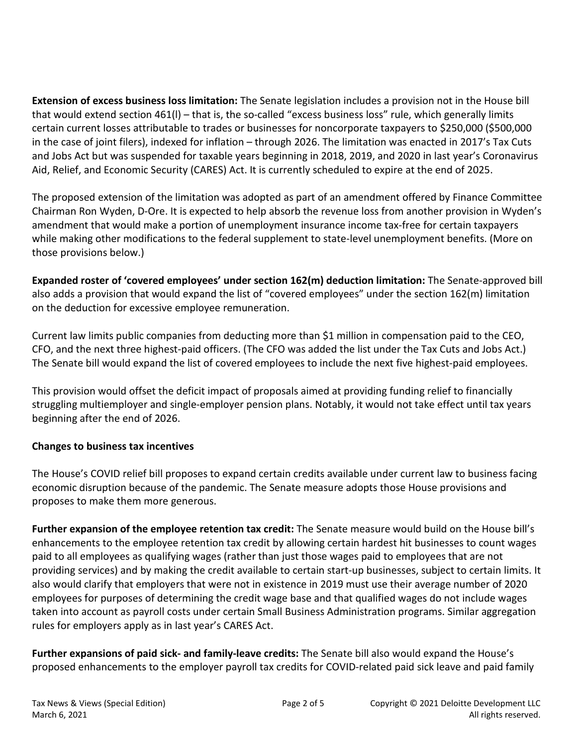**Extension of excess business loss limitation:** The Senate legislation includes a provision not in the House bill that would extend section 461(l) – that is, the so-called "excess business loss" rule, which generally limits certain current losses attributable to trades or businesses for noncorporate taxpayers to \$250,000 (\$500,000 in the case of joint filers), indexed for inflation – through 2026. The limitation was enacted in 2017's Tax Cuts and Jobs Act but was suspended for taxable years beginning in 2018, 2019, and 2020 in last year's Coronavirus Aid, Relief, and Economic Security (CARES) Act. It is currently scheduled to expire at the end of 2025.

The proposed extension of the limitation was adopted as part of an amendment offered by Finance Committee Chairman Ron Wyden, D-Ore. It is expected to help absorb the revenue loss from another provision in Wyden's amendment that would make a portion of unemployment insurance income tax-free for certain taxpayers while making other modifications to the federal supplement to state-level unemployment benefits. (More on those provisions below.)

**Expanded roster of 'covered employees' under section 162(m) deduction limitation:** The Senate-approved bill also adds a provision that would expand the list of "covered employees" under the section 162(m) limitation on the deduction for excessive employee remuneration.

Current law limits public companies from deducting more than \$1 million in compensation paid to the CEO, CFO, and the next three highest-paid officers. (The CFO was added the list under the Tax Cuts and Jobs Act.) The Senate bill would expand the list of covered employees to include the next five highest-paid employees.

This provision would offset the deficit impact of proposals aimed at providing funding relief to financially struggling multiemployer and single-employer pension plans. Notably, it would not take effect until tax years beginning after the end of 2026.

### **Changes to business tax incentives**

The House's COVID relief bill proposes to expand certain credits available under current law to business facing economic disruption because of the pandemic. The Senate measure adopts those House provisions and proposes to make them more generous.

**Further expansion of the employee retention tax credit:** The Senate measure would build on the House bill's enhancements to the employee retention tax credit by allowing certain hardest hit businesses to count wages paid to all employees as qualifying wages (rather than just those wages paid to employees that are not providing services) and by making the credit available to certain start-up businesses, subject to certain limits. It also would clarify that employers that were not in existence in 2019 must use their average number of 2020 employees for purposes of determining the credit wage base and that qualified wages do not include wages taken into account as payroll costs under certain Small Business Administration programs. Similar aggregation rules for employers apply as in last year's CARES Act.

**Further expansions of paid sick- and family-leave credits:** The Senate bill also would expand the House's proposed enhancements to the employer payroll tax credits for COVID-related paid sick leave and paid family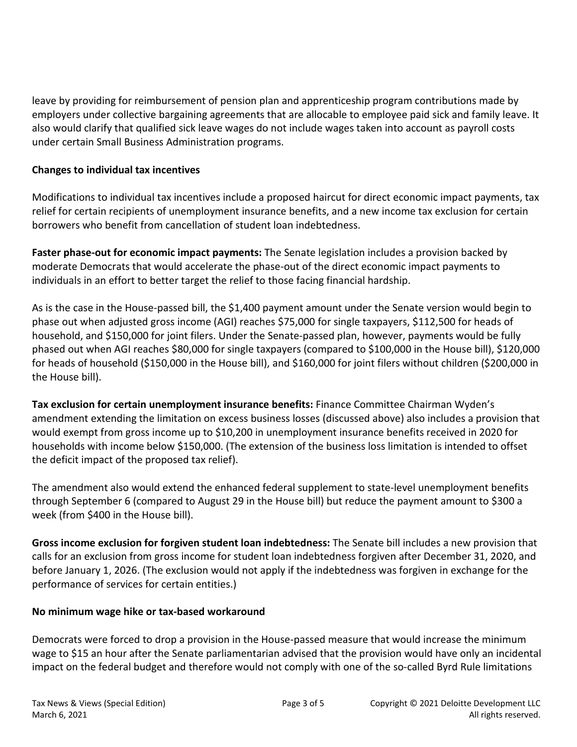leave by providing for reimbursement of pension plan and apprenticeship program contributions made by employers under collective bargaining agreements that are allocable to employee paid sick and family leave. It also would clarify that qualified sick leave wages do not include wages taken into account as payroll costs under certain Small Business Administration programs.

#### **Changes to individual tax incentives**

Modifications to individual tax incentives include a proposed haircut for direct economic impact payments, tax relief for certain recipients of unemployment insurance benefits, and a new income tax exclusion for certain borrowers who benefit from cancellation of student loan indebtedness.

**Faster phase-out for economic impact payments:** The Senate legislation includes a provision backed by moderate Democrats that would accelerate the phase-out of the direct economic impact payments to individuals in an effort to better target the relief to those facing financial hardship.

As is the case in the House-passed bill, the \$1,400 payment amount under the Senate version would begin to phase out when adjusted gross income (AGI) reaches \$75,000 for single taxpayers, \$112,500 for heads of household, and \$150,000 for joint filers. Under the Senate-passed plan, however, payments would be fully phased out when AGI reaches \$80,000 for single taxpayers (compared to \$100,000 in the House bill), \$120,000 for heads of household (\$150,000 in the House bill), and \$160,000 for joint filers without children (\$200,000 in the House bill).

**Tax exclusion for certain unemployment insurance benefits:** Finance Committee Chairman Wyden's amendment extending the limitation on excess business losses (discussed above) also includes a provision that would exempt from gross income up to \$10,200 in unemployment insurance benefits received in 2020 for households with income below \$150,000. (The extension of the business loss limitation is intended to offset the deficit impact of the proposed tax relief).

The amendment also would extend the enhanced federal supplement to state-level unemployment benefits through September 6 (compared to August 29 in the House bill) but reduce the payment amount to \$300 a week (from \$400 in the House bill).

**Gross income exclusion for forgiven student loan indebtedness:** The Senate bill includes a new provision that calls for an exclusion from gross income for student loan indebtedness forgiven after December 31, 2020, and before January 1, 2026. (The exclusion would not apply if the indebtedness was forgiven in exchange for the performance of services for certain entities.)

#### **No minimum wage hike or tax-based workaround**

Democrats were forced to drop a provision in the House-passed measure that would increase the minimum wage to \$15 an hour after the Senate parliamentarian advised that the provision would have only an incidental impact on the federal budget and therefore would not comply with one of the so-called Byrd Rule limitations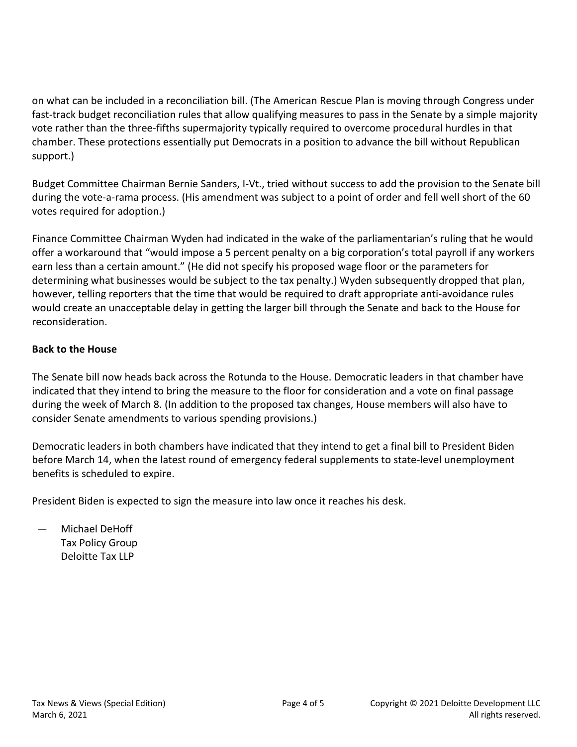on what can be included in a reconciliation bill. (The American Rescue Plan is moving through Congress under fast-track budget reconciliation rules that allow qualifying measures to pass in the Senate by a simple majority vote rather than the three-fifths supermajority typically required to overcome procedural hurdles in that chamber. These protections essentially put Democrats in a position to advance the bill without Republican support.)

Budget Committee Chairman Bernie Sanders, I-Vt., tried without success to add the provision to the Senate bill during the vote-a-rama process. (His amendment was subject to a point of order and fell well short of the 60 votes required for adoption.)

Finance Committee Chairman Wyden had indicated in the wake of the parliamentarian's ruling that he would offer a workaround that "would impose a 5 percent penalty on a big corporation's total payroll if any workers earn less than a certain amount." (He did not specify his proposed wage floor or the parameters for determining what businesses would be subject to the tax penalty.) Wyden subsequently dropped that plan, however, telling reporters that the time that would be required to draft appropriate anti-avoidance rules would create an unacceptable delay in getting the larger bill through the Senate and back to the House for reconsideration.

### **Back to the House**

The Senate bill now heads back across the Rotunda to the House. Democratic leaders in that chamber have indicated that they intend to bring the measure to the floor for consideration and a vote on final passage during the week of March 8. (In addition to the proposed tax changes, House members will also have to consider Senate amendments to various spending provisions.)

Democratic leaders in both chambers have indicated that they intend to get a final bill to President Biden before March 14, when the latest round of emergency federal supplements to state-level unemployment benefits is scheduled to expire.

President Biden is expected to sign the measure into law once it reaches his desk.

— Michael DeHoff Tax Policy Group Deloitte Tax LLP